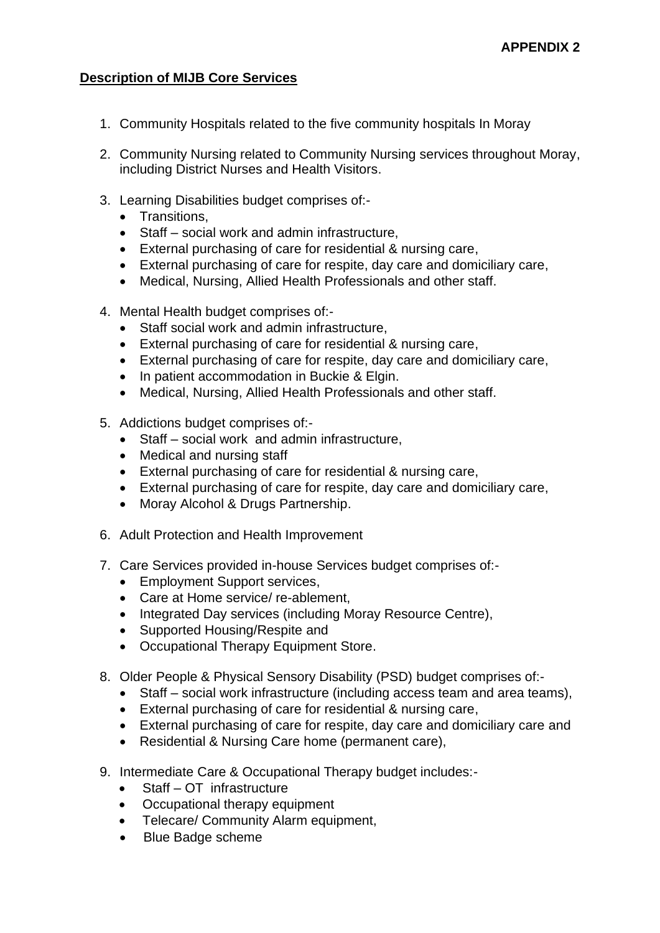## **Description of MIJB Core Services**

- 1. Community Hospitals related to the five community hospitals In Moray
- 2. Community Nursing related to Community Nursing services throughout Moray, including District Nurses and Health Visitors.
- 3. Learning Disabilities budget comprises of:-
	- Transitions,
	- Staff social work and admin infrastructure,
	- External purchasing of care for residential & nursing care,
	- External purchasing of care for respite, day care and domiciliary care,
	- Medical, Nursing, Allied Health Professionals and other staff.
- 4. Mental Health budget comprises of:-
	- Staff social work and admin infrastructure.
	- External purchasing of care for residential & nursing care,
	- External purchasing of care for respite, day care and domiciliary care,
	- In patient accommodation in Buckie & Elgin.
	- Medical, Nursing, Allied Health Professionals and other staff.
- 5. Addictions budget comprises of:-
	- Staff social work and admin infrastructure,
	- Medical and nursing staff
	- External purchasing of care for residential & nursing care,
	- External purchasing of care for respite, day care and domiciliary care,
	- Moray Alcohol & Drugs Partnership.
- 6. Adult Protection and Health Improvement
- 7. Care Services provided in-house Services budget comprises of:-
	- Employment Support services,
	- Care at Home service/ re-ablement,
	- Integrated Day services (including Moray Resource Centre),
	- Supported Housing/Respite and
	- Occupational Therapy Equipment Store.
- 8. Older People & Physical Sensory Disability (PSD) budget comprises of:-
	- Staff social work infrastructure (including access team and area teams),
	- External purchasing of care for residential & nursing care,
	- External purchasing of care for respite, day care and domiciliary care and
	- Residential & Nursing Care home (permanent care),
- 9. Intermediate Care & Occupational Therapy budget includes:-
	- Staff OT infrastructure
	- Occupational therapy equipment
	- Telecare/ Community Alarm equipment.
	- Blue Badge scheme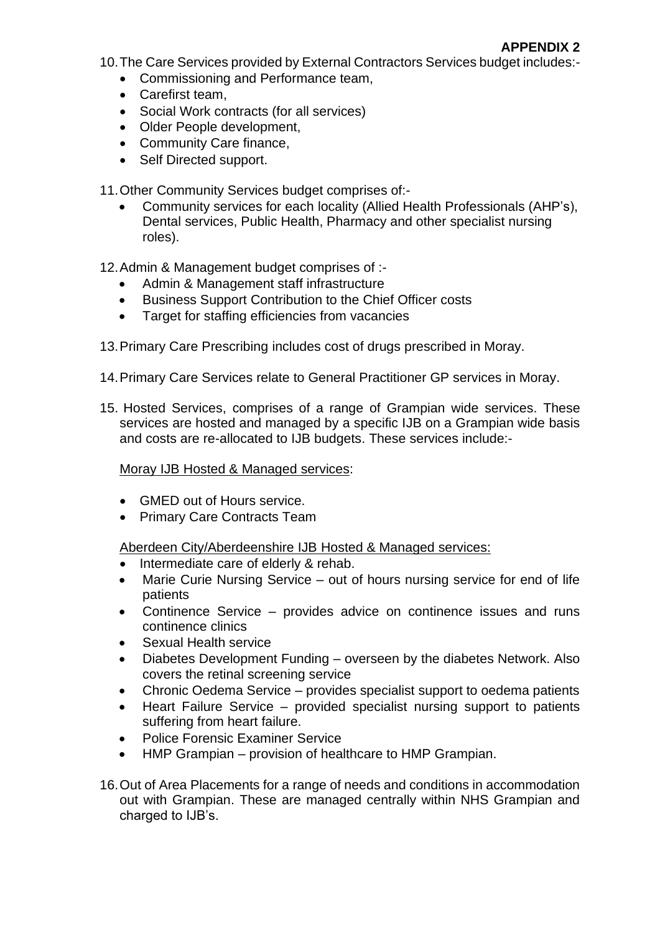10.The Care Services provided by External Contractors Services budget includes:-

- Commissioning and Performance team,
- Carefirst team,
- Social Work contracts (for all services)
- Older People development,
- Community Care finance,
- Self Directed support.

11.Other Community Services budget comprises of:-

• Community services for each locality (Allied Health Professionals (AHP's), Dental services, Public Health, Pharmacy and other specialist nursing roles).

12.Admin & Management budget comprises of :-

- Admin & Management staff infrastructure
- Business Support Contribution to the Chief Officer costs
- Target for staffing efficiencies from vacancies

13.Primary Care Prescribing includes cost of drugs prescribed in Moray.

- 14.Primary Care Services relate to General Practitioner GP services in Moray.
- 15. Hosted Services, comprises of a range of Grampian wide services. These services are hosted and managed by a specific IJB on a Grampian wide basis and costs are re-allocated to IJB budgets. These services include:-

Moray IJB Hosted & Managed services:

- GMED out of Hours service.
- Primary Care Contracts Team

Aberdeen City/Aberdeenshire IJB Hosted & Managed services:

- Intermediate care of elderly & rehab.
- Marie Curie Nursing Service out of hours nursing service for end of life patients
- Continence Service provides advice on continence issues and runs continence clinics
- Sexual Health service
- Diabetes Development Funding overseen by the diabetes Network. Also covers the retinal screening service
- Chronic Oedema Service provides specialist support to oedema patients
- Heart Failure Service provided specialist nursing support to patients suffering from heart failure.
- Police Forensic Examiner Service
- HMP Grampian provision of healthcare to HMP Grampian.
- 16.Out of Area Placements for a range of needs and conditions in accommodation out with Grampian. These are managed centrally within NHS Grampian and charged to IJB's.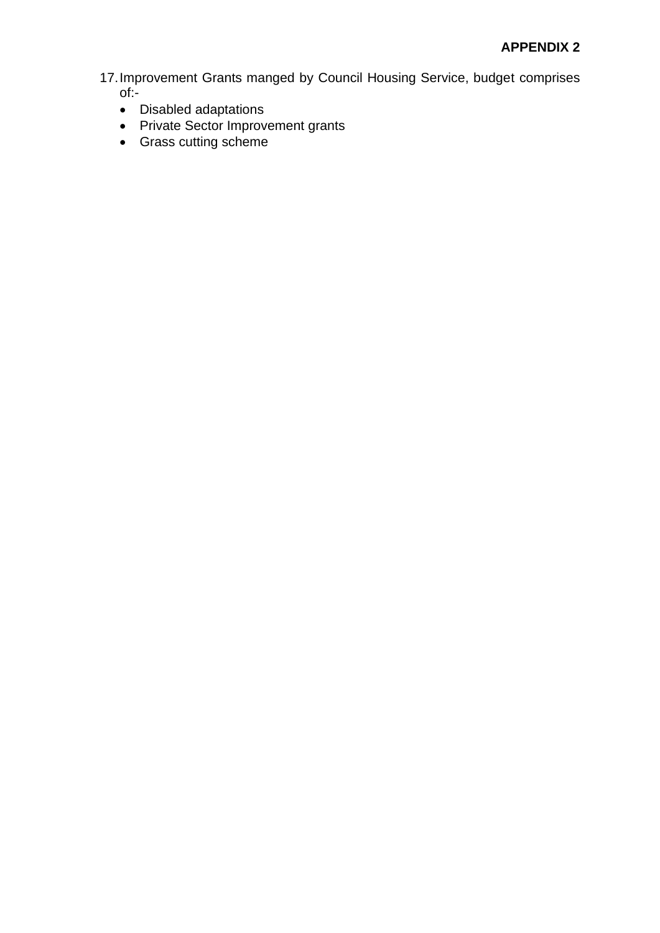17.Improvement Grants manged by Council Housing Service, budget comprises of:-

- Disabled adaptations
- Private Sector Improvement grants
- Grass cutting scheme